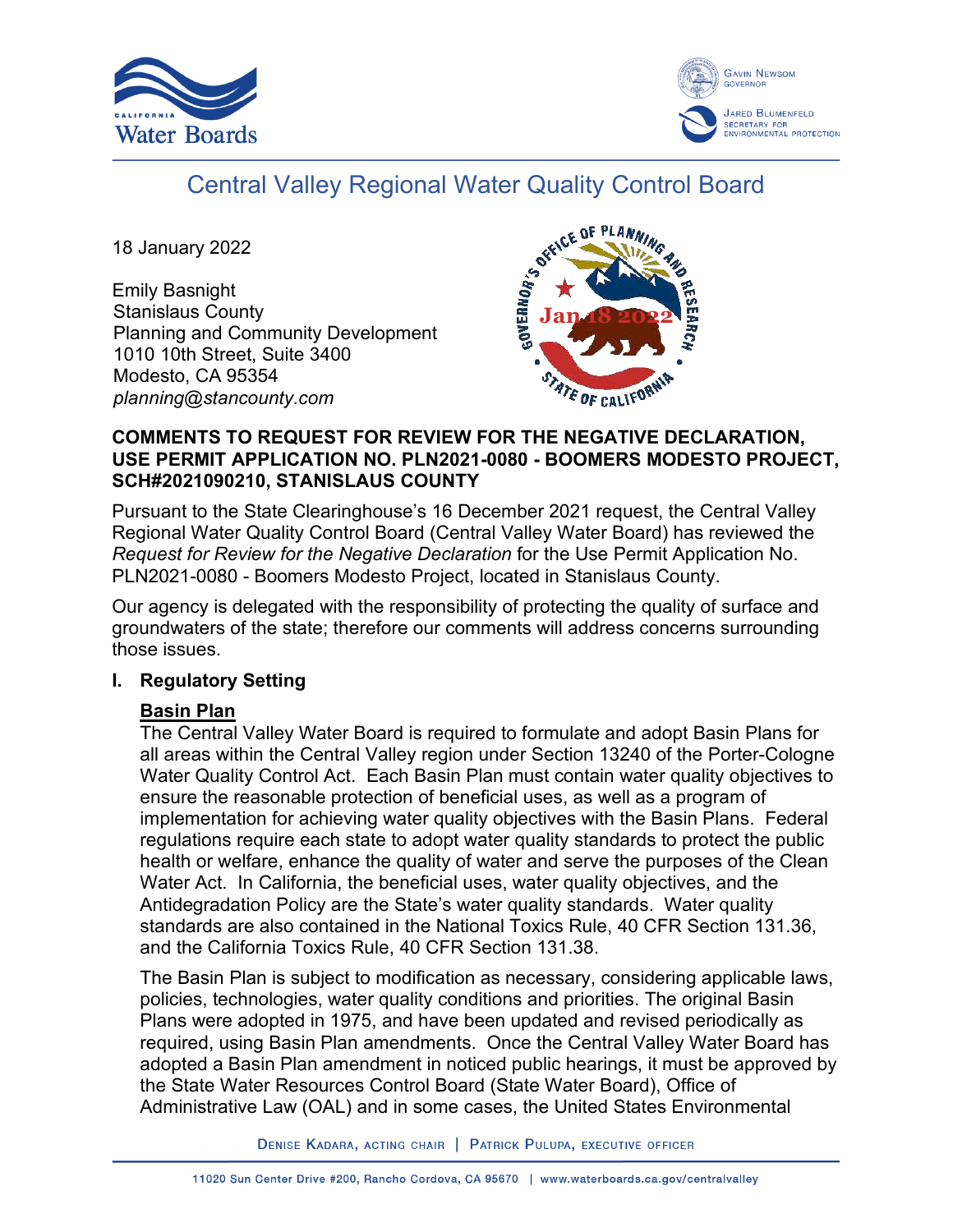



# Central Valley Regional Water Quality Control Board

18 January 2022

Emily Basnight Stanislaus County Planning and Community Development 1010 10th Street, Suite 3400 Modesto, CA 95354 *planning@stancounty.com*



#### **COMMENTS TO REQUEST FOR REVIEW FOR THE NEGATIVE DECLARATION, USE PERMIT APPLICATION NO. PLN2021-0080 - BOOMERS MODESTO PROJECT, SCH#2021090210, STANISLAUS COUNTY**

Pursuant to the State Clearinghouse's 16 December 2021 request, the Central Valley Regional Water Quality Control Board (Central Valley Water Board) has reviewed the *Request for Review for the Negative Declaration* for the Use Permit Application No. PLN2021-0080 - Boomers Modesto Project, located in Stanislaus County.

Our agency is delegated with the responsibility of protecting the quality of surface and groundwaters of the state; therefore our comments will address concerns surrounding those issues.

#### **I. Regulatory Setting**

# **Basin Plan**

The Central Valley Water Board is required to formulate and adopt Basin Plans for all areas within the Central Valley region under Section 13240 of the Porter-Cologne Water Quality Control Act. Each Basin Plan must contain water quality objectives to ensure the reasonable protection of beneficial uses, as well as a program of implementation for achieving water quality objectives with the Basin Plans. Federal regulations require each state to adopt water quality standards to protect the public health or welfare, enhance the quality of water and serve the purposes of the Clean Water Act. In California, the beneficial uses, water quality objectives, and the Antidegradation Policy are the State's water quality standards. Water quality standards are also contained in the National Toxics Rule, 40 CFR Section 131.36, and the California Toxics Rule, 40 CFR Section 131.38.

The Basin Plan is subject to modification as necessary, considering applicable laws, policies, technologies, water quality conditions and priorities. The original Basin Plans were adopted in 1975, and have been updated and revised periodically as required, using Basin Plan amendments. Once the Central Valley Water Board has adopted a Basin Plan amendment in noticed public hearings, it must be approved by the State Water Resources Control Board (State Water Board), Office of Administrative Law (OAL) and in some cases, the United States Environmental

DENISE KADARA, ACTING CHAIR | PATRICK PULUPA, EXECUTIVE OFFICER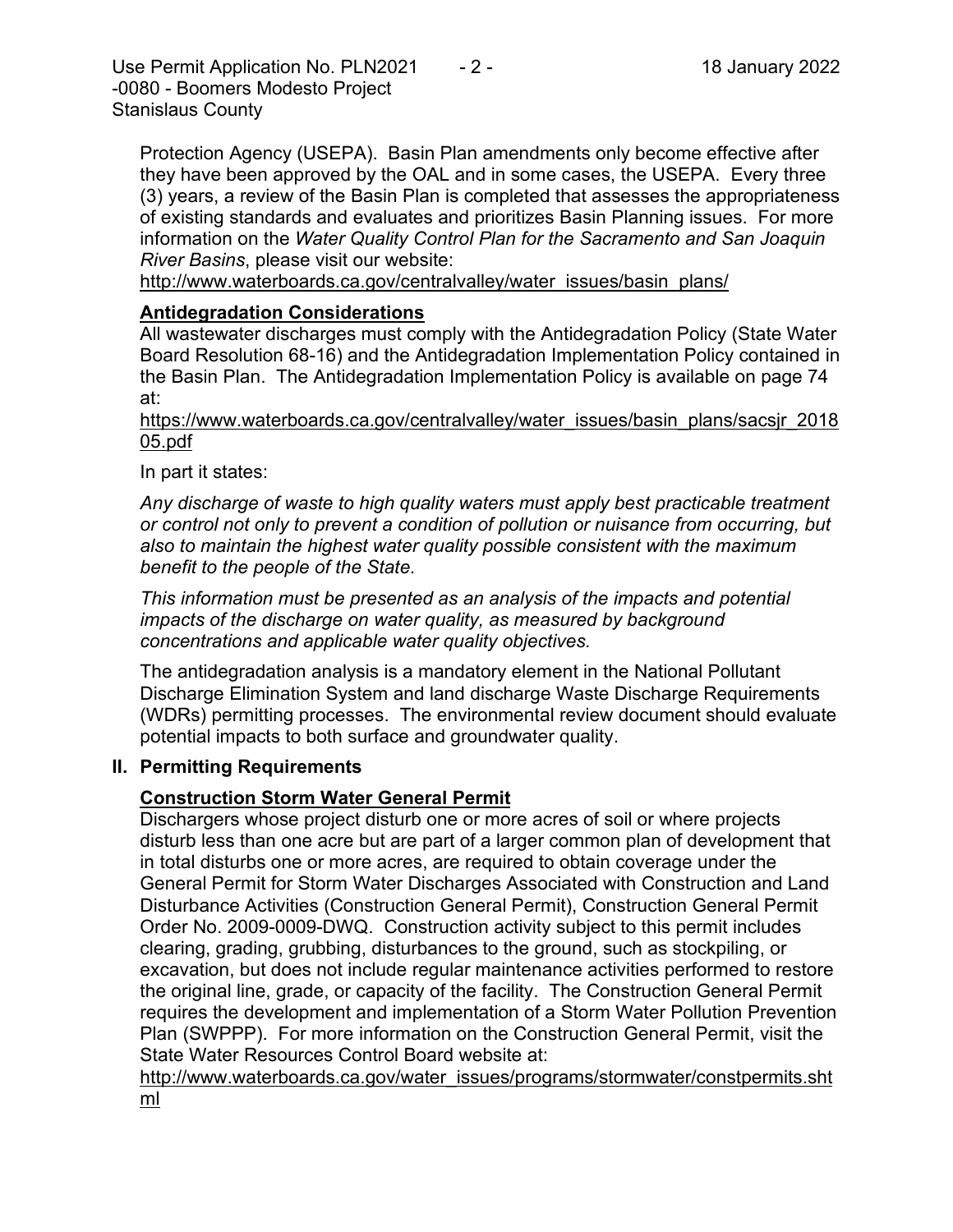Use Permit Application No. PLN2021  $-2$  - 18 January 2022 -0080 - Boomers Modesto Project Stanislaus County

Protection Agency (USEPA). Basin Plan amendments only become effective after they have been approved by the OAL and in some cases, the USEPA. Every three (3) years, a review of the Basin Plan is completed that assesses the appropriateness of existing standards and evaluates and prioritizes Basin Planning issues. For more information on the *Water Quality Control Plan for the Sacramento and San Joaquin River Basins*, please visit our website:

[http://www.waterboards.ca.gov/centralvalley/water\\_issues/basin\\_plans/](http://www.waterboards.ca.gov/centralvalley/water_issues/basin_plans/)

# **Antidegradation Considerations**

All wastewater discharges must comply with the Antidegradation Policy (State Water Board Resolution 68-16) and the Antidegradation Implementation Policy contained in the Basin Plan. The Antidegradation Implementation Policy is available on page 74 at:

https://www.waterboards.ca.gov/centralvalley/water\_issues/basin\_plans/sacsjr\_2018 05.pdf

In part it states:

*Any discharge of waste to high quality waters must apply best practicable treatment or control not only to prevent a condition of pollution or nuisance from occurring, but also to maintain the highest water quality possible consistent with the maximum benefit to the people of the State.*

*This information must be presented as an analysis of the impacts and potential impacts of the discharge on water quality, as measured by background concentrations and applicable water quality objectives.*

The antidegradation analysis is a mandatory element in the National Pollutant Discharge Elimination System and land discharge Waste Discharge Requirements (WDRs) permitting processes. The environmental review document should evaluate potential impacts to both surface and groundwater quality.

# **II. Permitting Requirements**

# **Construction Storm Water General Permit**

Dischargers whose project disturb one or more acres of soil or where projects disturb less than one acre but are part of a larger common plan of development that in total disturbs one or more acres, are required to obtain coverage under the General Permit for Storm Water Discharges Associated with Construction and Land Disturbance Activities (Construction General Permit), Construction General Permit Order No. 2009-0009-DWQ. Construction activity subject to this permit includes clearing, grading, grubbing, disturbances to the ground, such as stockpiling, or excavation, but does not include regular maintenance activities performed to restore the original line, grade, or capacity of the facility. The Construction General Permit requires the development and implementation of a Storm Water Pollution Prevention Plan (SWPPP). For more information on the Construction General Permit, visit the State Water Resources Control Board website at:

[http://www.waterboards.ca.gov/water\\_issues/programs/stormwater/constpermits.sht](http://www.waterboards.ca.gov/water_issues/programs/stormwater/constpermits.shtml) [ml](http://www.waterboards.ca.gov/water_issues/programs/stormwater/constpermits.shtml)